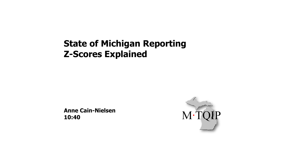#### **State of Michigan Reporting Z-Scores Explained**

**Anne Cain-Nielsen 10:40**

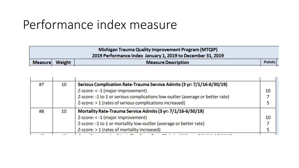### Performance index measure

| Michigan Trauma Quality Improvement Program (MTQIP) |                                                             |                            |               |  |  |
|-----------------------------------------------------|-------------------------------------------------------------|----------------------------|---------------|--|--|
|                                                     | 2019 Performance Index January 1, 2019 to December 31, 2019 |                            |               |  |  |
|                                                     | Measure Weight                                              | <b>Measure Description</b> | <b>Points</b> |  |  |
|                                                     |                                                             |                            |               |  |  |

| #7 | 10 | Serious Complication Rate-Trauma Service Admits (3 yr: 7/1/16-6/30/19)         |    |
|----|----|--------------------------------------------------------------------------------|----|
|    |    | Z-score: < -1 (major improvement)                                              | 10 |
|    |    | Z-score: -1 to 1 or serious complications low-outlier (average or better rate) |    |
|    |    | Z-score: > 1 (rates of serious complications increased)                        |    |
| #8 | 10 | Mortality Rate-Trauma Service Admits (3 yr: 7/1/16-6/30/19)                    |    |
|    |    | Z-score: < -1 (major improvement)                                              | 10 |
|    |    | Z-score: -1 to 1 or mortality low-outlier (average or better rate)             |    |
|    |    | Z-score: > 1 (rates of mortality increased)                                    |    |
|    |    |                                                                                |    |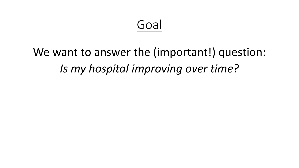### Goal

# We want to answer the (important!) question: *Is my hospital improving over time?*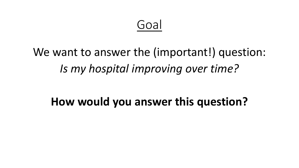### Goal

# We want to answer the (important!) question: *Is my hospital improving over time?*

### **How would you answer this question?**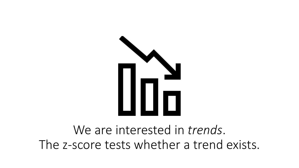

We are interested in *trends*. The z-score tests whether a trend exists.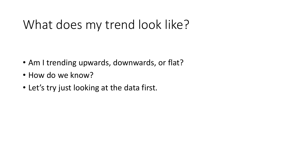### What does my trend look like?

- Am I trending upwards, downwards, or flat?
- How do we know?
- Let's try just looking at the data first.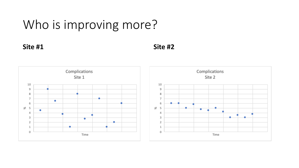### Who is improving more?

**Site #1 Site #2**

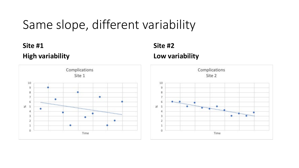### Same slope, different variability

#### **Site #1 High variability**



#### **Site #2 Low variability**

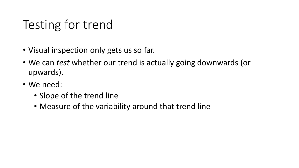# Testing for trend

- Visual inspection only gets us so far.
- We can *test* whether our trend is actually going downwards (or upwards).
- We need:
	- Slope of the trend line
	- Measure of the variability around that trend line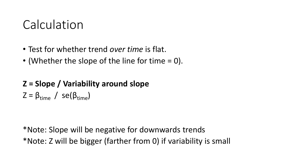### Calculation

- Test for whether trend *over time* is flat.
- (Whether the slope of the line for time  $= 0$ ).

### **Z = Slope / Variability around slope**   $Z = \beta_{time} / \text{se}(\beta_{time})$

\*Note: Slope will be negative for downwards trends \*Note: Z will be bigger (farther from 0) if variability is small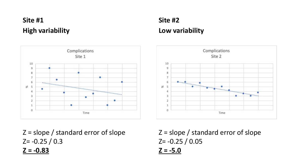#### **Site #1 High variability**



#### **Site #2 Low variability**



Z = slope / standard error of slope  $Z = -0.25 / 0.3$ **Z = -0.83**

 $Z = slope / standard error of slope$  $Z = -0.25 / 0.05$ **Z = -5.0**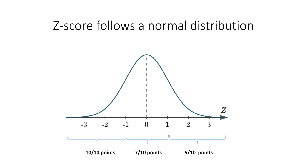### Z-score follows a normal distribution